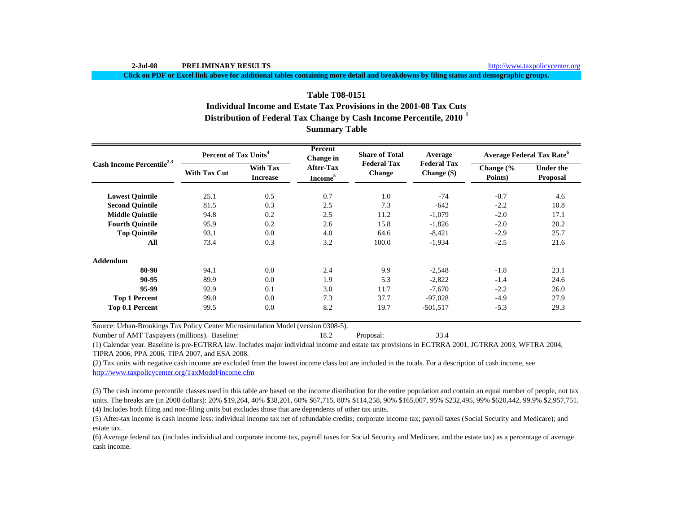**Click on PDF or Excel link above for additional tables containing more detail and breakdowns by filing status and demographic groups.**

# **Distribution of Federal Tax Change by Cash Income Percentile, 2010 <sup>1</sup> Summary Table Table T08-0151Individual Income and Estate Tax Provisions in the 2001-08 Tax Cuts**

| Cash Income Percentile <sup>2,3</sup> | <b>Percent of Tax Units<sup>4</sup></b> |                                    | Percent<br>Change in                    | <b>Share of Total</b>               | Average                             | <b>Average Federal Tax Rate</b> <sup>6</sup> |                                     |  |
|---------------------------------------|-----------------------------------------|------------------------------------|-----------------------------------------|-------------------------------------|-------------------------------------|----------------------------------------------|-------------------------------------|--|
|                                       | <b>With Tax Cut</b>                     | <b>With Tax</b><br><b>Increase</b> | <b>After-Tax</b><br>Income <sup>5</sup> | <b>Federal Tax</b><br><b>Change</b> | <b>Federal Tax</b><br>Change $(\$)$ | Change $\frac{6}{6}$<br>Points)              | <b>Under the</b><br><b>Proposal</b> |  |
| <b>Lowest Quintile</b>                | 25.1                                    | 0.5                                | 0.7                                     | 1.0                                 | $-74$                               | $-0.7$                                       | 4.6                                 |  |
| <b>Second Quintile</b>                | 81.5                                    | 0.3                                | 2.5                                     | 7.3                                 | $-642$                              | $-2.2$                                       | 10.8                                |  |
| <b>Middle Quintile</b>                | 94.8                                    | 0.2                                | 2.5                                     | 11.2                                | $-1,079$                            | $-2.0$                                       | 17.1                                |  |
| <b>Fourth Quintile</b>                | 95.9                                    | 0.2                                | 2.6                                     | 15.8                                | $-1,826$                            | $-2.0$                                       | 20.2                                |  |
| <b>Top Quintile</b>                   | 93.1                                    | 0.0                                | 4.0                                     | 64.6                                | $-8,421$                            | $-2.9$                                       | 25.7                                |  |
| All                                   | 73.4                                    | 0.3                                | 3.2                                     | 100.0                               | $-1,934$                            | $-2.5$                                       | 21.6                                |  |
| <b>Addendum</b>                       |                                         |                                    |                                         |                                     |                                     |                                              |                                     |  |
| 80-90                                 | 94.1                                    | 0.0                                | 2.4                                     | 9.9                                 | $-2,548$                            | $-1.8$                                       | 23.1                                |  |
| 90-95                                 | 89.9                                    | 0.0                                | 1.9                                     | 5.3                                 | $-2,822$                            | $-1.4$                                       | 24.6                                |  |
| 95-99                                 | 92.9                                    | 0.1                                | 3.0                                     | 11.7                                | $-7,670$                            | $-2.2$                                       | 26.0                                |  |
| <b>Top 1 Percent</b>                  | 99.0                                    | 0.0                                | 7.3                                     | 37.7                                | $-97,028$                           | $-4.9$                                       | 27.9                                |  |
| Top 0.1 Percent                       | 99.5                                    | 0.0                                | 8.2                                     | 19.7                                | $-501,517$                          | $-5.3$                                       | 29.3                                |  |

Source: Urban-Brookings Tax Policy Center Microsimulation Model (version 0308-5).

Number of AMT Taxpayers (millions). Baseline: 18.2 Proposal: 33.4

(1) Calendar year. Baseline is pre-EGTRRA law. Includes major individual income and estate tax provisions in EGTRRA 2001, JGTRRA 2003, WFTRA 2004, TIPRA 2006, PPA 2006, TIPA 2007, and ESA 2008.

(2) Tax units with negative cash income are excluded from the lowest income class but are included in the totals. For a description of cash income, see http://www.taxpolicycenter.org/TaxModel/income.cfm

(4) Includes both filing and non-filing units but excludes those that are dependents of other tax units. (3) The cash income percentile classes used in this table are based on the income distribution for the entire population and contain an equal number of people, not tax units. The breaks are (in 2008 dollars): 20% \$19,264, 40% \$38,201, 60% \$67,715, 80% \$114,258, 90% \$165,007, 95% \$232,495, 99% \$620,442, 99.9% \$2,957,751.

(5) After-tax income is cash income less: individual income tax net of refundable credits; corporate income tax; payroll taxes (Social Security and Medicare); and estate tax.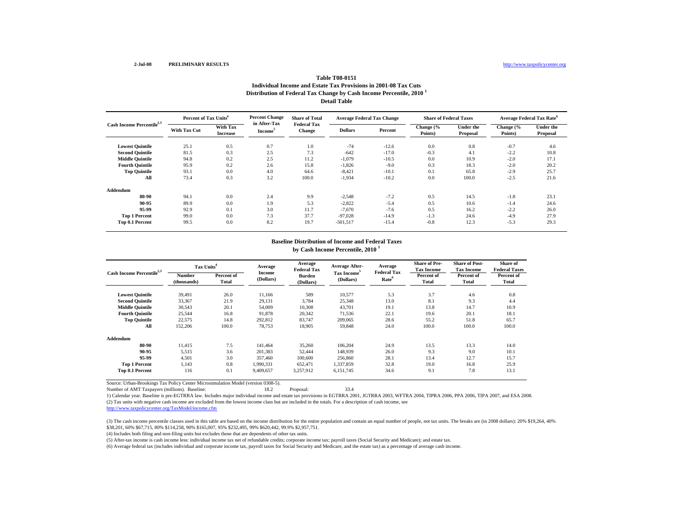# **Distribution of Federal Tax Change by Cash Income Percentile, 2010 <sup>1</sup> Detail TableTable T08-0151Individual Income and Estate Tax Provisions in 2001-08 Tax Cuts**

| Cash Income Percentile <sup>2,3</sup> |                     | Percent of Tax Units <sup>4</sup> |                                     | <b>Share of Total</b>        | <b>Average Federal Tax Change</b> |         | <b>Share of Federal Taxes</b> |                       | Average Federal Tax Rate <sup>6</sup> |                              |
|---------------------------------------|---------------------|-----------------------------------|-------------------------------------|------------------------------|-----------------------------------|---------|-------------------------------|-----------------------|---------------------------------------|------------------------------|
|                                       | <b>With Tax Cut</b> | With Tax<br><b>Increase</b>       | in After-Tax<br>Income <sup>3</sup> | <b>Federal Tax</b><br>Change | <b>Dollars</b>                    | Percent | Change (%<br>Points)          | Under the<br>Proposal | Change (%<br>Points)                  | <b>Under the</b><br>Proposal |
| <b>Lowest Quintile</b>                | 25.1                | 0.5                               | 0.7                                 | 1.0                          | $-74$                             | $-12.6$ | 0.0                           | 0.8                   | $-0.7$                                | 4.6                          |
| <b>Second Quintile</b>                | 81.5                | 0.3                               | 2.5                                 | 7.3                          | $-642$                            | $-17.0$ | $-0.3$                        | 4.1                   | $-2.2$                                | 10.8                         |
| <b>Middle Quintile</b>                | 94.8                | 0.2                               | 2.5                                 | 11.2                         | $-1,079$                          | $-10.5$ | 0.0                           | 10.9                  | $-2.0$                                | 17.1                         |
| <b>Fourth Quintile</b>                | 95.9                | 0.2                               | 2.6                                 | 15.8                         | $-1,826$                          | $-9.0$  | 0.3                           | 18.3                  | $-2.0$                                | 20.2                         |
| <b>Top Quintile</b>                   | 93.1                | 0.0                               | 4.0                                 | 64.6                         | $-8,421$                          | $-10.1$ | 0.1                           | 65.8                  | $-2.9$                                | 25.7                         |
| All                                   | 73.4                | 0.3                               | 3.2                                 | 100.0                        | $-1,934$                          | $-10.2$ | 0.0                           | 100.0                 | $-2.5$                                | 21.6                         |
| Addendum                              |                     |                                   |                                     |                              |                                   |         |                               |                       |                                       |                              |
| 80-90                                 | 94.1                | 0.0                               | 2.4                                 | 9.9                          | $-2,548$                          | $-7.2$  | 0.5                           | 14.5                  | $-1.8$                                | 23.1                         |
| 90-95                                 | 89.9                | 0.0                               | 1.9                                 | 5.3                          | $-2,822$                          | $-5.4$  | 0.5                           | 10.6                  | $-1.4$                                | 24.6                         |
| 95-99                                 | 92.9                | 0.1                               | 3.0                                 | 11.7                         | $-7,670$                          | $-7.6$  | 0.5                           | 16.2                  | $-2.2$                                | 26.0                         |
| <b>Top 1 Percent</b>                  | 99.0                | 0.0                               | 7.3                                 | 37.7                         | $-97.028$                         | $-14.9$ | $-1.3$                        | 24.6                  | $-4.9$                                | 27.9                         |
| Top 0.1 Percent                       | 99.5                | 0.0                               | 8.2                                 | 19.7                         | $-501,517$                        | $-15.4$ | $-0.8$                        | 12.3                  | $-5.3$                                | 29.3                         |

#### **Baseline Distribution of Income and Federal Taxes by Cash Income Percentile, 2010 <sup>1</sup>**

| Cash Income Percentile <sup>2,3</sup> | Tax Units <sup>4</sup>       |                     | Average             | Average<br><b>Federal Tax</b> | <b>Average After-</b>                | Average<br><b>Federal Tax</b> | <b>Share of Pre-</b><br><b>Tax Income</b> | <b>Share of Post-</b><br><b>Tax Income</b> | Share of<br><b>Federal Taxes</b> |
|---------------------------------------|------------------------------|---------------------|---------------------|-------------------------------|--------------------------------------|-------------------------------|-------------------------------------------|--------------------------------------------|----------------------------------|
|                                       | <b>Number</b><br>(thousands) | Percent of<br>Total | Income<br>(Dollars) | <b>Burden</b><br>(Dollars)    | Tax Income <sup>5</sup><br>(Dollars) | Rate <sup>6</sup>             | Percent of<br><b>Total</b>                | Percent of<br>Total                        | Percent of<br><b>Total</b>       |
| <b>Lowest Quintile</b>                | 39,491                       | 26.0                | 11,166              | 589                           | 10,577                               | 5.3                           | 3.7                                       | 4.6                                        | 0.8                              |
| <b>Second Quintile</b>                | 33,367                       | 21.9                | 29,131              | 3.784                         | 25,348                               | 13.0                          | 8.1                                       | 9.3                                        | 4.4                              |
| <b>Middle Quintile</b>                | 30,543                       | 20.1                | 54,009              | 10,308                        | 43,701                               | 19.1                          | 13.8                                      | 14.7                                       | 10.9                             |
| <b>Fourth Quintile</b>                | 25,544                       | 16.8                | 91,878              | 20,342                        | 71,536                               | 22.1                          | 19.6                                      | 20.1                                       | 18.1                             |
| <b>Top Quintile</b>                   | 22,575                       | 14.8                | 292,812             | 83,747                        | 209,065                              | 28.6                          | 55.2                                      | 51.8                                       | 65.7                             |
| All                                   | 152,206                      | 100.0               | 78,753              | 18,905                        | 59,848                               | 24.0                          | 100.0                                     | 100.0                                      | 100.0                            |
| Addendum                              |                              |                     |                     |                               |                                      |                               |                                           |                                            |                                  |
| 80-90                                 | 11.415                       | 7.5                 | 141.464             | 35,260                        | 106,204                              | 24.9                          | 13.5                                      | 13.3                                       | 14.0                             |
| 90-95                                 | 5.515                        | 3.6                 | 201,383             | 52,444                        | 148,939                              | 26.0                          | 9.3                                       | 9.0                                        | 10.1                             |
| 95-99                                 | 4.501                        | 3.0                 | 357,460             | 100,600                       | 256,860                              | 28.1                          | 13.4                                      | 12.7                                       | 15.7                             |
| <b>Top 1 Percent</b>                  | 1.143                        | 0.8                 | 1,990,331           | 652,471                       | 1,337,859                            | 32.8                          | 19.0                                      | 16.8                                       | 25.9                             |
| Top 0.1 Percent                       | 116                          | 0.1                 | 9.409.657           | 3,257,912                     | 6,151,745                            | 34.6                          | 9.1                                       | 7.8                                        | 13.1                             |

Source: Urban-Brookings Tax Policy Center Microsimulation Model (version 0308-5).

Number of AMT Taxpayers (millions). Baseline: 18.2 Proposal: 33.4

(2) Tax units with negative cash income are excluded from the lowest income class but are included in the totals. For a description of cash income, see 1) Calendar year. Baseline is pre-EGTRRA law. Includes major individual income and estate tax provisions in EGTRRA 2001, JGTRRA 2003, WFTRA 2004, TIPRA 2006, PPA 2006, TIPA 2007, and ESA 2008.

http://www.taxpolicycenter.org/TaxModel/income.cfm

(3) The cash income percentile classes used in this table are based on the income distribution for the entire population and contain an equal number of people, not tax units. The breaks are (in 2008 dollars): 20% \$19,264, \$38,201, 60% \$67,715, 80% \$114,258, 90% \$165,007, 95% \$232,495, 99% \$620,442, 99.9% \$2,957,751.

(4) Includes both filing and non-filing units but excludes those that are dependents of other tax units.

(5) After-tax income is cash income less: individual income tax net of refundable credits; corporate income tax; payroll taxes (Social Security and Medicare); and estate tax.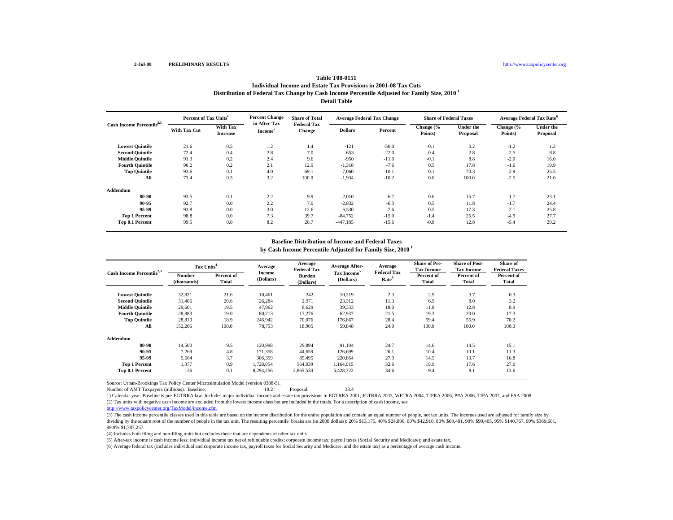# **Distribution of Federal Tax Change by Cash Income Percentile Adjusted for Family Size, 2010 1 Detail Table Table T08-0151Individual Income and Estate Tax Provisions in 2001-08 Tax Cuts**

| Cash Income Percentile <sup>2,3</sup> |                     | <b>Percent Change</b><br>Percent of Tax Units <sup>4</sup> |                                     | <b>Share of Total</b>        | <b>Average Federal Tax Change</b> |         | <b>Share of Federal Taxes</b> |                       | Average Federal Tax Rate <sup>6</sup> |                              |
|---------------------------------------|---------------------|------------------------------------------------------------|-------------------------------------|------------------------------|-----------------------------------|---------|-------------------------------|-----------------------|---------------------------------------|------------------------------|
|                                       | <b>With Tax Cut</b> | <b>With Tax</b><br><b>Increase</b>                         | in After-Tax<br>Income <sup>5</sup> | <b>Federal Tax</b><br>Change | <b>Dollars</b>                    | Percent | Change (%<br>Points)          | Under the<br>Proposal | Change (%<br>Points)                  | <b>Under the</b><br>Proposal |
| <b>Lowest Quintile</b>                | 21.6                | 0.5                                                        | 1.2                                 | 1.4                          | $-121$                            | $-50.0$ | $-0.1$                        | 0.2                   | $-1.2$                                | 1.2                          |
| <b>Second Quintile</b>                | 72.4                | 0.4                                                        | 2.8                                 | 7.0                          | $-653$                            | $-22.0$ | $-0.4$                        | 2.8                   | $-2.5$                                | 8.8                          |
| <b>Middle Quintile</b>                | 91.3                | 0.2                                                        | 2.4                                 | 9.6                          | $-950$                            | $-11.0$ | $-0.1$                        | 8.8                   | $-2.0$                                | 16.0                         |
| <b>Fourth Quintile</b>                | 96.2                | 0.2                                                        | 2.1                                 | 12.9                         | $-1,318$                          | $-7.6$  | 0.5                           | 17.8                  | $-1.6$                                | 19.9                         |
| <b>Top Quintile</b>                   | 93.6                | 0.1                                                        | 4.0                                 | 69.1                         | $-7,060$                          | $-10.1$ | 0.1                           | 70.3                  | $-2.9$                                | 25.5                         |
| All                                   | 73.4                | 0.3                                                        | 3.2                                 | 100.0                        | $-1,934$                          | $-10.2$ | 0.0                           | 100.0                 | $-2.5$                                | 21.6                         |
| Addendum                              |                     |                                                            |                                     |                              |                                   |         |                               |                       |                                       |                              |
| 80-90                                 | 93.5                | 0.1                                                        | 2.2                                 | 9.9                          | $-2,010$                          | $-6.7$  | 0.6                           | 15.7                  | $-1.7$                                | 23.1                         |
| 90-95                                 | 92.7                | 0.0                                                        | 2.2                                 | 7.0                          | $-2,832$                          | $-6.3$  | 0.5                           | 11.8                  | $-1.7$                                | 24.4                         |
| 95-99                                 | 93.8                | 0.0                                                        | 3.0                                 | 12.6                         | $-6,530$                          | $-7.6$  | 0.5                           | 17.3                  | $-2.1$                                | 25.8                         |
| <b>Top 1 Percent</b>                  | 98.8                | 0.0                                                        | 7.3                                 | 39.7                         | $-84,752$                         | $-15.0$ | $-1.4$                        | 25.5                  | $-4.9$                                | 27.7                         |
| Top 0.1 Percent                       | 99.5                | 0.0                                                        | 8.2                                 | 20.7                         | $-447,185$                        | $-15.6$ | $-0.8$                        | 12.8                  | $-5.4$                                | 29.2                         |

# **by Cash Income Percentile Adjusted for Family Size, 2010 1 Baseline Distribution of Income and Federal Taxes**

| Cash Income Percentile <sup>2,3</sup> | Tax Units <sup>4</sup> |                     | Average                    | Average<br><b>Federal Tax</b> | Average After-                       | Average<br><b>Federal Tax</b> | <b>Share of Pre-</b><br><b>Tax Income</b> | <b>Share of Post-</b><br><b>Tax Income</b> | Share of<br><b>Federal Taxes</b> |  |
|---------------------------------------|------------------------|---------------------|----------------------------|-------------------------------|--------------------------------------|-------------------------------|-------------------------------------------|--------------------------------------------|----------------------------------|--|
|                                       | Number<br>(thousands)  | Percent of<br>Total | <b>Income</b><br>(Dollars) | <b>Burden</b><br>(Dollars)    | Tax Income <sup>5</sup><br>(Dollars) | Rate <sup>6</sup>             | Percent of<br><b>Total</b>                | Percent of<br><b>Total</b>                 | Percent of<br>Total              |  |
| <b>Lowest Quintile</b>                | 32,821                 | 21.6                | 10,461                     | 242                           | 10,219                               | 2.3                           | 2.9                                       | 3.7                                        | 0.3                              |  |
| <b>Second Quintile</b>                | 31,406                 | 20.6                | 26,284                     | 2,971                         | 23,312                               | 11.3                          | 6.9                                       | 8.0                                        | 3.2                              |  |
| <b>Middle Quintile</b>                | 29,601                 | 19.5                | 47,962                     | 8,629                         | 39,333                               | 18.0                          | 11.8                                      | 12.8                                       | 8.9                              |  |
| <b>Fourth Quintile</b>                | 28,883                 | 19.0                | 80,213                     | 17,276                        | 62,937                               | 21.5                          | 19.3                                      | 20.0                                       | 17.3                             |  |
| <b>Top Quintile</b>                   | 28,810                 | 18.9                | 246,942                    | 70,076                        | 176,867                              | 28.4                          | 59.4                                      | 55.9                                       | 70.2                             |  |
| All                                   | 152,206                | 100.0               | 78,753                     | 18,905                        | 59,848                               | 24.0                          | 100.0                                     | 100.0                                      | 100.0                            |  |
| Addendum                              |                        |                     |                            |                               |                                      |                               |                                           |                                            |                                  |  |
| 80-90                                 | 14.500                 | 9.5                 | 120,998                    | 29,894                        | 91,104                               | 24.7                          | 14.6                                      | 14.5                                       | 15.1                             |  |
| 90-95                                 | 7.269                  | 4.8                 | 171.358                    | 44,659                        | 126,699                              | 26.1                          | 10.4                                      | 10.1                                       | 11.3                             |  |
| 95-99                                 | 5.664                  | 3.7                 | 306.359                    | 85,495                        | 220,864                              | 27.9                          | 14.5                                      | 13.7                                       | 16.8                             |  |
| <b>Top 1 Percent</b>                  | 1.377                  | 0.9                 | 1.728.054                  | 564,039                       | 1.164.015                            | 32.6                          | 19.9                                      | 17.6                                       | 27.0                             |  |
| Top 0.1 Percent                       | 136                    | 0.1                 | 8,294,256                  | 2,865,534                     | 5,428,722                            | 34.6                          | 9.4                                       | 8.1                                        | 13.6                             |  |

Source: Urban-Brookings Tax Policy Center Microsimulation Model (version 0308-5).

Number of AMT Taxpayers (millions). Baseline: 18.2 Proposal: 33.4

(2) Tax units with negative cash income are excluded from the lowest income class but are included in the totals. For a description of cash income, see 1) Calendar year. Baseline is pre-EGTRRA law. Includes major individual income and estate tax provisions in EGTRRA 2001, JGTRRA 2003, WFTRA 2004, TIPRA 2006, PPA 2006, TIPA 2007, and ESA 2008.

http://www.taxpolicycenter.org/TaxModel/income.cfm

(3) The cash income percentile classes used in this table are based on the income distribution for the entire population and contain an equal number of people, not tax units. The incomes used are adjusted for family size by dividing by the square root of the number of people in the tax unit. The resulting percentile breaks are (in 2008 dollars): 20% \$13,175, 40% \$24,896, 60% \$42,910, 80% \$69,481, 90% \$99,405, 95% \$140,767, 99% \$369,601, 99.9% \$1,787,257.

(4) Includes both filing and non-filing units but excludes those that are dependents of other tax units.

(5) After-tax income is cash income less: individual income tax net of refundable credits; corporate income tax; payroll taxes (Social Security and Medicare); and estate tax.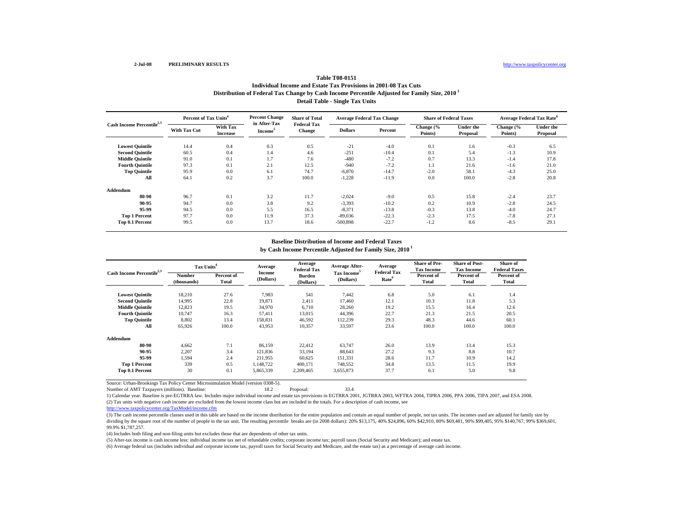# **Distribution of Federal Tax Change by Cash Income Percentile Adjusted for Family Size, 2010 1 Detail Table - Single Tax Units Table T08-0151Individual Income and Estate Tax Provisions in 2001-08 Tax Cuts**

| Cash Income Percentile <sup>2,3</sup> | Percent of Tax Units <sup>4</sup> |                                    | <b>Percent Change</b>               | <b>Share of Total</b>        | <b>Average Federal Tax Change</b> |         | <b>Share of Federal Taxes</b> |                              | <b>Average Federal Tax Rate<sup>6</sup></b> |                              |
|---------------------------------------|-----------------------------------|------------------------------------|-------------------------------------|------------------------------|-----------------------------------|---------|-------------------------------|------------------------------|---------------------------------------------|------------------------------|
|                                       | <b>With Tax Cut</b>               | <b>With Tax</b><br><b>Increase</b> | in After-Tax<br>Income <sup>5</sup> | <b>Federal Tax</b><br>Change | <b>Dollars</b>                    | Percent | Change (%<br>Points)          | <b>Under the</b><br>Proposal | Change (%<br>Points)                        | <b>Under the</b><br>Proposal |
| <b>Lowest Quintile</b>                | 14.4                              | 0.4                                | 0.3                                 | 0.5                          | $-21$                             | $-4.0$  | 0.1                           | 1.6                          | $-0.3$                                      | 6.5                          |
| <b>Second Quintile</b>                | 60.5                              | 0.4                                | 1.4                                 | 4.6                          | $-251$                            | $-10.4$ | 0.1                           | 5.4                          | $-1.3$                                      | 10.9                         |
| <b>Middle Quintile</b>                | 91.0                              | 0.1                                | 1.7                                 | 7.6                          | $-480$                            | $-7.2$  | 0.7                           | 13.3                         | $-1.4$                                      | 17.8                         |
| <b>Fourth Quintile</b>                | 97.3                              | 0.1                                | 2.1                                 | 12.5                         | $-940$                            | $-7.2$  | 1.1                           | 21.6                         | $-1.6$                                      | 21.0                         |
| <b>Top Quintile</b>                   | 95.9                              | 0.0                                | 6.1                                 | 74.7                         | $-6.870$                          | $-14.7$ | $-2.0$                        | 58.1                         | $-4.3$                                      | 25.0                         |
| All                                   | 64.1                              | 0.2                                | 3.7                                 | 100.0                        | $-1,228$                          | $-11.9$ | 0.0                           | 100.0                        | $-2.8$                                      | 20.8                         |
| Addendum                              |                                   |                                    |                                     |                              |                                   |         |                               |                              |                                             |                              |
| 80-90                                 | 96.7                              | 0.1                                | 3.2                                 | 11.7                         | $-2,024$                          | $-9.0$  | 0.5                           | 15.8                         | $-2.4$                                      | 23.7                         |
| 90-95                                 | 94.7                              | 0.0                                | 3.8                                 | 9.2                          | $-3,393$                          | $-10.2$ | 0.2                           | 10.9                         | $-2.8$                                      | 24.5                         |
| 95-99                                 | 94.5                              | 0.0                                | 5.5                                 | 16.5                         | $-8.371$                          | $-13.8$ | $-0.3$                        | 13.8                         | $-4.0$                                      | 24.7                         |
| <b>Top 1 Percent</b>                  | 97.7                              | 0.0                                | 11.9                                | 37.3                         | $-89,036$                         | $-22.3$ | $-2.3$                        | 17.5                         | $-7.8$                                      | 27.1                         |
| Top 0.1 Percent                       | 99.5                              | 0.0                                | 13.7                                | 18.6                         | -500,898                          | $-22.7$ | $-1.2$                        | 8.6                          | $-8.5$                                      | 29.1                         |

# **by Cash Income Percentile Adjusted for Family Size, 2010 1 Baseline Distribution of Income and Federal Taxes**

| Cash Income Percentile <sup>2,3</sup> | Tax Units <sup>4</sup>       |                     | Average<br><b>Income</b> | Average<br><b>Federal Tax</b> | <b>Average After-</b><br>Tax Income <sup>5</sup> | Average<br><b>Federal Tax</b> | <b>Share of Pre-</b><br><b>Tax Income</b> | <b>Share of Post-</b><br><b>Tax Income</b> | Share of<br><b>Federal Taxes</b> |
|---------------------------------------|------------------------------|---------------------|--------------------------|-------------------------------|--------------------------------------------------|-------------------------------|-------------------------------------------|--------------------------------------------|----------------------------------|
|                                       | <b>Number</b><br>(thousands) | Percent of<br>Total | (Dollars)                | <b>Burden</b><br>(Dollars)    | (Dollars)                                        | Rate <sup>6</sup>             | Percent of<br>Total                       | Percent of<br>Total                        | Percent of<br>Total              |
| <b>Lowest Quintile</b>                | 18,210                       | 27.6                | 7,983                    | 541                           | 7.442                                            | 6.8                           | 5.0                                       | 6.1                                        | 1.4                              |
| <b>Second Quintile</b>                | 14,995                       | 22.8                | 19,871                   | 2,411                         | 17,460                                           | 12.1                          | 10.3                                      | 11.8                                       | 5.3                              |
| <b>Middle Quintile</b>                | 12,823                       | 19.5                | 34,970                   | 6,710                         | 28,260                                           | 19.2                          | 15.5                                      | 16.4                                       | 12.6                             |
| <b>Fourth Quintile</b>                | 10.747                       | 16.3                | 57.411                   | 13,015                        | 44.396                                           | 22.7                          | 21.3                                      | 21.5                                       | 20.5                             |
| <b>Top Quintile</b>                   | 8,802                        | 13.4                | 158,831                  | 46,592                        | 112,239                                          | 29.3                          | 48.3                                      | 44.6                                       | 60.1                             |
| All                                   | 65,926                       | 100.0               | 43,953                   | 10,357                        | 33,597                                           | 23.6                          | 100.0                                     | 100.0                                      | 100.0                            |
| Addendum                              |                              |                     |                          |                               |                                                  |                               |                                           |                                            |                                  |
| 80-90                                 | 4.662                        | 7.1                 | 86,159                   | 22,412                        | 63,747                                           | 26.0                          | 13.9                                      | 13.4                                       | 15.3                             |
| 90-95                                 | 2,207                        | 3.4                 | 121,836                  | 33,194                        | 88,643                                           | 27.2                          | 9.3                                       | 8.8                                        | 10.7                             |
| 95-99                                 | 1,594                        | 2.4                 | 211,955                  | 60,625                        | 151,331                                          | 28.6                          | 11.7                                      | 10.9                                       | 14.2                             |
| <b>Top 1 Percent</b>                  | 339                          | 0.5                 | 1,148,722                | 400,171                       | 748,552                                          | 34.8                          | 13.5                                      | 11.5                                       | 19.9                             |
| Top 0.1 Percent                       | 30                           | 0.1                 | 5,865,339                | 2,209,465                     | 3,655,873                                        | 37.7                          | 6.1                                       | 5.0                                        | 9.8                              |

Source: Urban-Brookings Tax Policy Center Microsimulation Model (version 0308-5).

Number of AMT Taxpayers (millions). Baseline: 18.2 Proposal: 33.4

(2) Tax units with negative cash income are excluded from the lowest income class but are included in the totals. For a description of cash income, see 1) Calendar year. Baseline is pre-EGTRRA law. Includes major individual income and estate tax provisions in EGTRRA 2001, JGTRRA 2003, WFTRA 2004, TIPRA 2006, PPA 2006, TIPA 2007, and ESA 2008.

http://www.taxpolicycenter.org/TaxModel/income.cfm

(3) The cash income percentile classes used in this table are based on the income distribution for the entire population and contain an equal number of people, not tax units. The incomes used are adjusted for family size by dividing by the square root of the number of people in the tax unit. The resulting percentile breaks are (in 2008 dollars): 20% \$13,175, 40% \$24,896, 60% \$42,910, 80% \$69,481, 90% \$99,405, 95% \$140,767, 99% \$369,601, 99.9% \$1,787,257.

(4) Includes both filing and non-filing units but excludes those that are dependents of other tax units.

(5) After-tax income is cash income less: individual income tax net of refundable credits; corporate income tax; payroll taxes (Social Security and Medicare); and estate tax.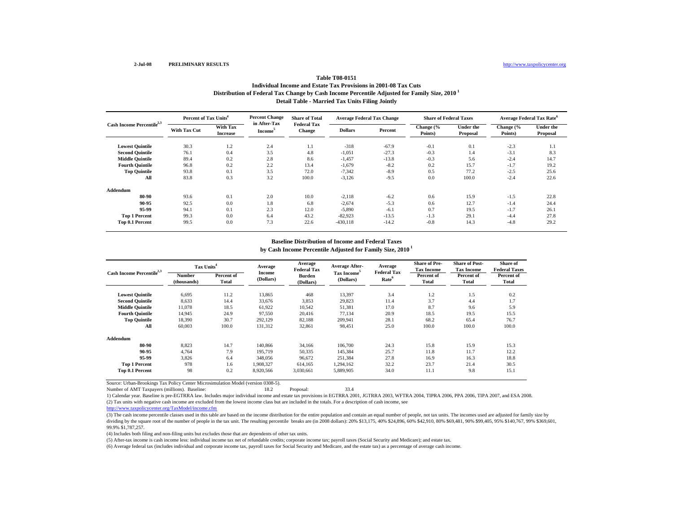# **Distribution of Federal Tax Change by Cash Income Percentile Adjusted for Family Size, 2010 1 Detail Table - Married Tax Units Filing Jointly Table T08-0151Individual Income and Estate Tax Provisions in 2001-08 Tax Cuts**

| Cash Income Percentile <sup>2,3</sup> |                     | Percent of Tax Units <sup>4</sup> |                                     | <b>Share of Total</b>        | <b>Average Federal Tax Change</b> |         | <b>Share of Federal Taxes</b> |                              | Average Federal Tax Rate <sup>6</sup> |                              |
|---------------------------------------|---------------------|-----------------------------------|-------------------------------------|------------------------------|-----------------------------------|---------|-------------------------------|------------------------------|---------------------------------------|------------------------------|
|                                       | <b>With Tax Cut</b> | With Tax<br><b>Increase</b>       | in After-Tax<br>Income <sup>3</sup> | <b>Federal Tax</b><br>Change | <b>Dollars</b>                    | Percent | Change (%<br>Points)          | <b>Under the</b><br>Proposal | Change (%<br>Points)                  | <b>Under the</b><br>Proposal |
| <b>Lowest Quintile</b>                | 30.3                | 1.2                               | 2.4                                 | 1.1                          | $-318$                            | $-67.9$ | $-0.1$                        | 0.1                          | $-2.3$                                | 1.1                          |
| <b>Second Quintile</b>                | 76.1                | 0.4                               | 3.5                                 | 4.8                          | $-1,051$                          | $-27.3$ | $-0.3$                        | 1.4                          | $-3.1$                                | 8.3                          |
| <b>Middle Quintile</b>                | 89.4                | 0.2                               | 2.8                                 | 8.6                          | $-1,457$                          | $-13.8$ | $-0.3$                        | 5.6                          | $-2.4$                                | 14.7                         |
| <b>Fourth Quintile</b>                | 96.8                | 0.2                               | 2.2                                 | 13.4                         | $-1,679$                          | $-8.2$  | 0.2                           | 15.7                         | $-1.7$                                | 19.2                         |
| <b>Top Quintile</b>                   | 93.8                | 0.1                               | 3.5                                 | 72.0                         | $-7,342$                          | $-8.9$  | 0.5                           | 77.2                         | $-2.5$                                | 25.6                         |
| All                                   | 83.8                | 0.3                               | 3.2                                 | 100.0                        | $-3,126$                          | $-9.5$  | 0.0                           | 100.0                        | $-2.4$                                | 22.6                         |
| Addendum                              |                     |                                   |                                     |                              |                                   |         |                               |                              |                                       |                              |
| 80-90                                 | 93.6                | 0.1                               | 2.0                                 | 10.0                         | $-2,118$                          | $-6.2$  | 0.6                           | 15.9                         | $-1.5$                                | 22.8                         |
| 90-95                                 | 92.5                | 0.0                               | 1.8                                 | 6.8                          | $-2,674$                          | $-5.3$  | 0.6                           | 12.7                         | $-1.4$                                | 24.4                         |
| 95-99                                 | 94.1                | 0.1                               | 2.3                                 | 12.0                         | $-5,890$                          | $-6.1$  | 0.7                           | 19.5                         | $-1.7$                                | 26.1                         |
| <b>Top 1 Percent</b>                  | 99.3                | 0.0                               | 6.4                                 | 43.2                         | $-82,923$                         | $-13.5$ | $-1.3$                        | 29.1                         | $-4.4$                                | 27.8                         |
| Top 0.1 Percent                       | 99.5                | 0.0                               | 7.3                                 | 22.6                         | $-430,118$                        | $-14.2$ | $-0.8$                        | 14.3                         | $-4.8$                                | 29.2                         |

#### **by Cash Income Percentile Adjusted for Family Size, 2010 1 Baseline Distribution of Income and Federal Taxes**

| Cash Income Percentile <sup>2,3</sup> | Tax Units <sup>4</sup>       |                     | Average             | Average<br><b>Federal Tax</b> | <b>Average After-</b><br>Tax Income <sup>5</sup> | Average<br><b>Federal Tax</b> | <b>Share of Pre-</b><br><b>Tax Income</b> | <b>Share of Post-</b><br><b>Tax Income</b> | Share of<br><b>Federal Taxes</b> |
|---------------------------------------|------------------------------|---------------------|---------------------|-------------------------------|--------------------------------------------------|-------------------------------|-------------------------------------------|--------------------------------------------|----------------------------------|
|                                       | <b>Number</b><br>(thousands) | Percent of<br>Total | Income<br>(Dollars) | Burden<br>(Dollars)           | (Dollars)                                        | Rate <sup>6</sup>             | Percent of<br>Total                       | Percent of<br><b>Total</b>                 | Percent of<br>Total              |
| <b>Lowest Quintile</b>                | 6,695                        | 11.2                | 13,865              | 468                           | 13,397                                           | 3.4                           | 1.2                                       | 1.5                                        | 0.2                              |
| <b>Second Quintile</b>                | 8,633                        | 14.4                | 33,676              | 3,853                         | 29,823                                           | 11.4                          | 3.7                                       | 4.4                                        | 1.7                              |
| <b>Middle Quintile</b>                | 11,078                       | 18.5                | 61,922              | 10,542                        | 51,381                                           | 17.0                          | 8.7                                       | 9.6                                        | 5.9                              |
| <b>Fourth Quintile</b>                | 14.945                       | 24.9                | 97.550              | 20.416                        | 77.134                                           | 20.9                          | 18.5                                      | 19.5                                       | 15.5                             |
| <b>Top Quintile</b>                   | 18,390                       | 30.7                | 292,129             | 82,188                        | 209,941                                          | 28.1                          | 68.2                                      | 65.4                                       | 76.7                             |
| All                                   | 60,003                       | 100.0               | 131,312             | 32,861                        | 98,451                                           | 25.0                          | 100.0                                     | 100.0                                      | 100.0                            |
| Addendum                              |                              |                     |                     |                               |                                                  |                               |                                           |                                            |                                  |
| 80-90                                 | 8,823                        | 14.7                | 140,866             | 34,166                        | 106,700                                          | 24.3                          | 15.8                                      | 15.9                                       | 15.3                             |
| 90-95                                 | 4.764                        | 7.9                 | 195.719             | 50,335                        | 145,384                                          | 25.7                          | 11.8                                      | 11.7                                       | 12.2                             |
| 95-99                                 | 3,826                        | 6.4                 | 348,056             | 96,672                        | 251,384                                          | 27.8                          | 16.9                                      | 16.3                                       | 18.8                             |
| <b>Top 1 Percent</b>                  | 978                          | 1.6                 | 1,908,327           | 614,165                       | 1,294,162                                        | 32.2                          | 23.7                                      | 21.4                                       | 30.5                             |
| Top 0.1 Percent                       | 98                           | 0.2                 | 8,920,566           | 3,030,661                     | 5,889,905                                        | 34.0                          | 11.1                                      | 9.8                                        | 15.1                             |

Source: Urban-Brookings Tax Policy Center Microsimulation Model (version 0308-5).

Number of AMT Taxpayers (millions). Baseline: 18.2 Proposal: 33.4

(2) Tax units with negative cash income are excluded from the lowest income class but are included in the totals. For a description of cash income, see 1) Calendar year. Baseline is pre-EGTRRA law. Includes major individual income and estate tax provisions in EGTRRA 2001, JGTRRA 2003, WFTRA 2004, TIPRA 2006, PPA 2006, TIPA 2007, and ESA 2008.

http://www.taxpolicycenter.org/TaxModel/income.cfm

(3) The cash income percentile classes used in this table are based on the income distribution for the entire population and contain an equal number of people, not tax units. The incomes used are adjusted for family size by dividing by the square root of the number of people in the tax unit. The resulting percentile breaks are (in 2008 dollars): 20% \$13,175, 40% \$24,896, 60% \$42,910, 80% \$69,481, 90% \$99,405, 95% \$140,767, 99% \$369,601, 99.9% \$1,787,257.

(4) Includes both filing and non-filing units but excludes those that are dependents of other tax units.

(5) After-tax income is cash income less: individual income tax net of refundable credits; corporate income tax; payroll taxes (Social Security and Medicare); and estate tax.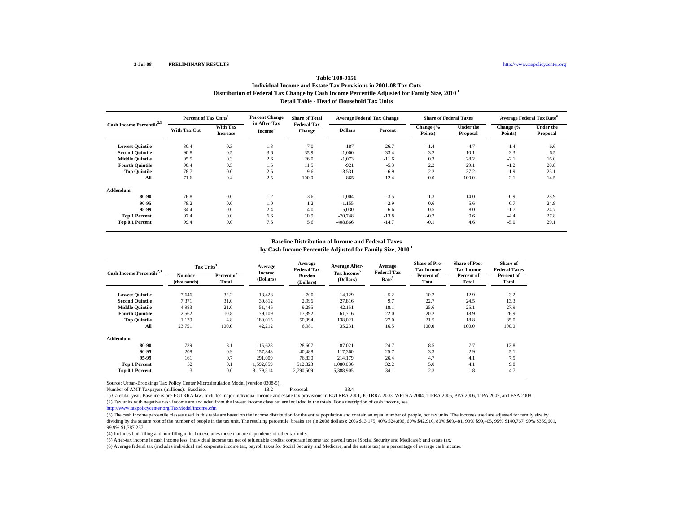# **Distribution of Federal Tax Change by Cash Income Percentile Adjusted for Family Size, 2010 1 Detail Table - Head of Household Tax Units Table T08-0151Individual Income and Estate Tax Provisions in 2001-08 Tax Cuts**

| Cash Income Percentile <sup>2,3</sup> | Percent of Tax Units <sup>4</sup> |                                    | <b>Percent Change</b>               | <b>Share of Total</b>               | <b>Average Federal Tax Change</b> |         | <b>Share of Federal Taxes</b> |                       | Average Federal Tax Rate <sup>6</sup> |                              |
|---------------------------------------|-----------------------------------|------------------------------------|-------------------------------------|-------------------------------------|-----------------------------------|---------|-------------------------------|-----------------------|---------------------------------------|------------------------------|
|                                       | <b>With Tax Cut</b>               | <b>With Tax</b><br><b>Increase</b> | in After-Tax<br>Income <sup>5</sup> | <b>Federal Tax</b><br><b>Change</b> | <b>Dollars</b>                    | Percent | Change (%<br>Points)          | Under the<br>Proposal | Change (%<br>Points)                  | <b>Under the</b><br>Proposal |
| <b>Lowest Quintile</b>                | 30.4                              | 0.3                                | 1.3                                 | 7.0                                 | $-187$                            | 26.7    | $-1.4$                        | $-4.7$                | $-1.4$                                | $-6.6$                       |
| <b>Second Quintile</b>                | 90.8                              | 0.5                                | 3.6                                 | 35.9                                | $-1,000$                          | $-33.4$ | $-3.2$                        | 10.1                  | $-3.3$                                | 6.5                          |
| <b>Middle Quintile</b>                | 95.5                              | 0.3                                | 2.6                                 | 26.0                                | $-1,073$                          | $-11.6$ | 0.3                           | 28.2                  | $-2.1$                                | 16.0                         |
| <b>Fourth Quintile</b>                | 90.4                              | 0.5                                | 1.5                                 | 11.5                                | $-921$                            | $-5.3$  | 2.2                           | 29.1                  | $-1.2$                                | 20.8                         |
| <b>Top Quintile</b>                   | 78.7                              | 0.0                                | 2.6                                 | 19.6                                | $-3,531$                          | $-6.9$  | 2.2                           | 37.2                  | $-1.9$                                | 25.1                         |
| All                                   | 71.6                              | 0.4                                | 2.5                                 | 100.0                               | $-865$                            | $-12.4$ | 0.0                           | 100.0                 | $-2.1$                                | 14.5                         |
| Addendum                              |                                   |                                    |                                     |                                     |                                   |         |                               |                       |                                       |                              |
| 80-90                                 | 76.8                              | 0.0                                | 1.2                                 | 3.6                                 | $-1,004$                          | $-3.5$  | 1.3                           | 14.0                  | $-0.9$                                | 23.9                         |
| 90-95                                 | 78.2                              | 0.0                                | 1.0                                 | 1.2                                 | $-1,155$                          | $-2.9$  | 0.6                           | 5.6                   | $-0.7$                                | 24.9                         |
| 95-99                                 | 84.4                              | 0.0                                | 2.4                                 | 4.0                                 | $-5,030$                          | $-6.6$  | 0.5                           | 8.0                   | $-1.7$                                | 24.7                         |
| <b>Top 1 Percent</b>                  | 97.4                              | 0.0                                | 6.6                                 | 10.9                                | $-70,748$                         | $-13.8$ | $-0.2$                        | 9.6                   | $-4.4$                                | 27.8                         |
| Top 0.1 Percent                       | 99.4                              | 0.0                                | 7.6                                 | 5.6                                 | $-408,866$                        | $-14.7$ | $-0.1$                        | 4.6                   | $-5.0$                                | 29.1                         |

#### **by Cash Income Percentile Adjusted for Family Size, 2010 1 Baseline Distribution of Income and Federal Taxes**

| Cash Income Percentile <sup>2,3</sup> | Tax Units <sup>4</sup>       |                     | Average<br><b>Income</b> | Average<br><b>Federal Tax</b> | <b>Average After-</b><br>Tax Income <sup>5</sup> | Average<br><b>Federal Tax</b> | <b>Share of Pre-</b><br><b>Tax Income</b> | <b>Share of Post-</b><br><b>Tax Income</b> | Share of<br><b>Federal Taxes</b> |
|---------------------------------------|------------------------------|---------------------|--------------------------|-------------------------------|--------------------------------------------------|-------------------------------|-------------------------------------------|--------------------------------------------|----------------------------------|
|                                       | <b>Number</b><br>(thousands) | Percent of<br>Total | (Dollars)                | <b>Burden</b><br>(Dollars)    | (Dollars)                                        | Rate <sup>6</sup>             | Percent of<br><b>Total</b>                | Percent of<br>Total                        | Percent of<br>Total              |
| <b>Lowest Quintile</b>                | 7.646                        | 32.2                | 13,428                   | $-700$                        | 14,129                                           | $-5.2$                        | 10.2                                      | 12.9                                       | $-3.2$                           |
| <b>Second Quintile</b>                | 7,371                        | 31.0                | 30,812                   | 2,996                         | 27,816                                           | 9.7                           | 22.7                                      | 24.5                                       | 13.3                             |
| <b>Middle Quintile</b>                | 4,983                        | 21.0                | 51,446                   | 9,295                         | 42,151                                           | 18.1                          | 25.6                                      | 25.1                                       | 27.9                             |
| <b>Fourth Quintile</b>                | 2,562                        | 10.8                | 79,109                   | 17,392                        | 61,716                                           | 22.0                          | 20.2                                      | 18.9                                       | 26.9                             |
| <b>Top Quintile</b>                   | 1,139                        | 4.8                 | 189,015                  | 50,994                        | 138,021                                          | 27.0                          | 21.5                                      | 18.8                                       | 35.0                             |
| All                                   | 23,751                       | 100.0               | 42,212                   | 6.981                         | 35,231                                           | 16.5                          | 100.0                                     | 100.0                                      | 100.0                            |
| Addendum                              |                              |                     |                          |                               |                                                  |                               |                                           |                                            |                                  |
| 80-90                                 | 739                          | 3.1                 | 115,628                  | 28,607                        | 87.021                                           | 24.7                          | 8.5                                       | 7.7                                        | 12.8                             |
| 90-95                                 | 208                          | 0.9                 | 157,848                  | 40.488                        | 117,360                                          | 25.7                          | 3.3                                       | 2.9                                        | 5.1                              |
| 95-99                                 | 161                          | 0.7                 | 291,009                  | 76,830                        | 214,179                                          | 26.4                          | 4.7                                       | 4.1                                        | 7.5                              |
| <b>Top 1 Percent</b>                  | 32                           | 0.1                 | 1,592,859                | 512,823                       | 1,080,036                                        | 32.2                          | 5.0                                       | 4.1                                        | 9.8                              |
| Top 0.1 Percent                       | 3                            | 0.0                 | 8,179,514                | 2,790,609                     | 5,388,905                                        | 34.1                          | 2.3                                       | 1.8                                        | 4.7                              |

Source: Urban-Brookings Tax Policy Center Microsimulation Model (version 0308-5).

Number of AMT Taxpayers (millions). Baseline: 18.2 Proposal: 33.4

(2) Tax units with negative cash income are excluded from the lowest income class but are included in the totals. For a description of cash income, see 1) Calendar year. Baseline is pre-EGTRRA law. Includes major individual income and estate tax provisions in EGTRRA 2001, JGTRRA 2003, WFTRA 2004, TIPRA 2006, PPA 2006, TIPA 2007, and ESA 2008.

http://www.taxpolicycenter.org/TaxModel/income.cfm

(3) The cash income percentile classes used in this table are based on the income distribution for the entire population and contain an equal number of people, not tax units. The incomes used are adjusted for family size by dividing by the square root of the number of people in the tax unit. The resulting percentile breaks are (in 2008 dollars): 20% \$13,175, 40% \$24,896, 60% \$42,910, 80% \$69,481, 90% \$99,405, 95% \$140,767, 99% \$369,601, 99.9% \$1,787,257.

(4) Includes both filing and non-filing units but excludes those that are dependents of other tax units.

(5) After-tax income is cash income less: individual income tax net of refundable credits; corporate income tax; payroll taxes (Social Security and Medicare); and estate tax.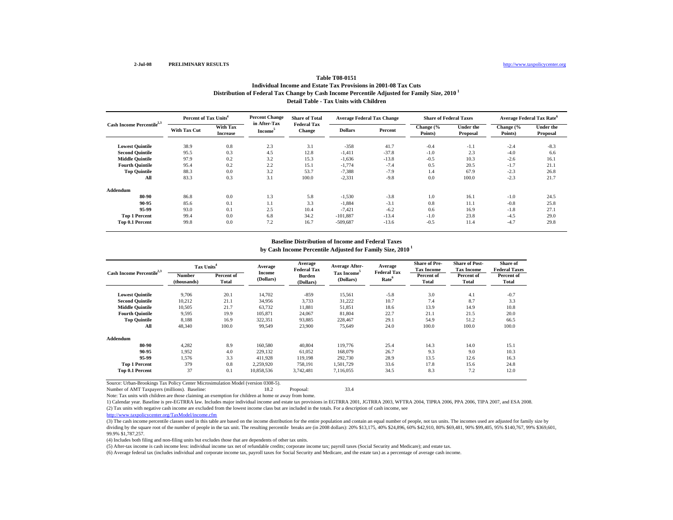# **Distribution of Federal Tax Change by Cash Income Percentile Adjusted for Family Size, 2010 1 Detail Table - Tax Units with Children Table T08-0151Individual Income and Estate Tax Provisions in 2001-08 Tax Cuts**

| Cash Income Percentile <sup>2,3</sup> | Percent of Tax Units <sup>4</sup> |                                    | <b>Percent Change</b>               | <b>Share of Total</b>               | <b>Average Federal Tax Change</b> |         | <b>Share of Federal Taxes</b> |                       | Average Federal Tax Rate <sup>6</sup> |                              |
|---------------------------------------|-----------------------------------|------------------------------------|-------------------------------------|-------------------------------------|-----------------------------------|---------|-------------------------------|-----------------------|---------------------------------------|------------------------------|
|                                       | <b>With Tax Cut</b>               | <b>With Tax</b><br><b>Increase</b> | in After-Tax<br>Income <sup>5</sup> | <b>Federal Tax</b><br><b>Change</b> | <b>Dollars</b>                    | Percent | Change (%<br>Points)          | Under the<br>Proposal | Change (%<br>Points)                  | <b>Under the</b><br>Proposal |
| <b>Lowest Quintile</b>                | 38.9                              | 0.8                                | 2.3                                 | 3.1                                 | $-358$                            | 41.7    | $-0.4$                        | $-1.1$                | $-2.4$                                | $-8.3$                       |
| <b>Second Quintile</b>                | 95.5                              | 0.3                                | 4.5                                 | 12.8                                | $-1,411$                          | $-37.8$ | $-1.0$                        | 2.3                   | $-4.0$                                | 6.6                          |
| <b>Middle Quintile</b>                | 97.9                              | 0.2                                | 3.2                                 | 15.3                                | $-1,636$                          | $-13.8$ | $-0.5$                        | 10.3                  | $-2.6$                                | 16.1                         |
| <b>Fourth Quintile</b>                | 95.4                              | 0.2                                | 2.2                                 | 15.1                                | $-1,774$                          | $-7.4$  | 0.5                           | 20.5                  | $-1.7$                                | 21.1                         |
| <b>Top Quintile</b>                   | 88.3                              | 0.0                                | 3.2                                 | 53.7                                | $-7,388$                          | $-7.9$  | 1.4                           | 67.9                  | $-2.3$                                | 26.8                         |
| All                                   | 83.3                              | 0.3                                | 3.1                                 | 100.0                               | $-2,331$                          | $-9.8$  | 0.0                           | 100.0                 | $-2.3$                                | 21.7                         |
| Addendum                              |                                   |                                    |                                     |                                     |                                   |         |                               |                       |                                       |                              |
| 80-90                                 | 86.8                              | 0.0                                | 1.3                                 | 5.8                                 | $-1,530$                          | $-3.8$  | 1.0                           | 16.1                  | $-1.0$                                | 24.5                         |
| 90-95                                 | 85.6                              | 0.1                                | 1.1                                 | 3.3                                 | $-1,884$                          | $-3.1$  | 0.8                           | 11.1                  | $-0.8$                                | 25.8                         |
| 95-99                                 | 93.0                              | 0.1                                | 2.5                                 | 10.4                                | $-7.421$                          | $-6.2$  | 0.6                           | 16.9                  | $-1.8$                                | 27.1                         |
| <b>Top 1 Percent</b>                  | 99.4                              | 0.0                                | 6.8                                 | 34.2                                | $-101.887$                        | $-13.4$ | $-1.0$                        | 23.8                  | $-4.5$                                | 29.0                         |
| Top 0.1 Percent                       | 99.8                              | 0.0                                | 7.2                                 | 16.7                                | $-509,687$                        | $-13.6$ | $-0.5$                        | 11.4                  | $-4.7$                                | 29.8                         |

## **by Cash Income Percentile Adjusted for Family Size, 2010 1 Baseline Distribution of Income and Federal Taxes**

| Cash Income Percentile <sup>2,3</sup> | Tax Units <sup>4</sup> |                     | Average                    | Average<br><b>Federal Tax</b> | <b>Average After-</b>                | Average<br><b>Federal Tax</b> | <b>Share of Pre-</b><br><b>Tax Income</b> | <b>Share of Post-</b><br><b>Tax Income</b> | Share of<br><b>Federal Taxes</b> |
|---------------------------------------|------------------------|---------------------|----------------------------|-------------------------------|--------------------------------------|-------------------------------|-------------------------------------------|--------------------------------------------|----------------------------------|
|                                       | Number<br>(thousands)  | Percent of<br>Total | <b>Income</b><br>(Dollars) | <b>Burden</b><br>(Dollars)    | Tax Income <sup>5</sup><br>(Dollars) | Rate <sup>6</sup>             | Percent of<br><b>Total</b>                | Percent of<br><b>Total</b>                 | Percent of<br>Total              |
| <b>Lowest Quintile</b>                | 9,706                  | 20.1                | 14,702                     | $-859$                        | 15,561                               | $-5.8$                        | 3.0                                       | 4.1                                        | $-0.7$                           |
| <b>Second Quintile</b>                | 10,212                 | 21.1                | 34,956                     | 3,733                         | 31,222                               | 10.7                          | 7.4                                       | 8.7                                        | 3.3                              |
| <b>Middle Quintile</b>                | 10,505                 | 21.7                | 63,732                     | 11,881                        | 51,851                               | 18.6                          | 13.9                                      | 14.9                                       | 10.8                             |
| <b>Fourth Quintile</b>                | 9,595                  | 19.9                | 105.871                    | 24,067                        | 81.804                               | 22.7                          | 21.1                                      | 21.5                                       | 20.0                             |
| <b>Top Quintile</b>                   | 8,188                  | 16.9                | 322,351                    | 93,885                        | 228,467                              | 29.1                          | 54.9                                      | 51.2                                       | 66.5                             |
| All                                   | 48,340                 | 100.0               | 99,549                     | 23,900                        | 75,649                               | 24.0                          | 100.0                                     | 100.0                                      | 100.0                            |
| Addendum                              |                        |                     |                            |                               |                                      |                               |                                           |                                            |                                  |
| 80-90                                 | 4,282                  | 8.9                 | 160,580                    | 40.804                        | 119,776                              | 25.4                          | 14.3                                      | 14.0                                       | 15.1                             |
| 90-95                                 | 1.952                  | 4.0                 | 229.132                    | 61.052                        | 168,079                              | 26.7                          | 9.3                                       | 9.0                                        | 10.3                             |
| 95-99                                 | 1.576                  | 3.3                 | 411,928                    | 119,198                       | 292,730                              | 28.9                          | 13.5                                      | 12.6                                       | 16.3                             |
| <b>Top 1 Percent</b>                  | 379                    | 0.8                 | 2,259,920                  | 758,191                       | 1,501,729                            | 33.6                          | 17.8                                      | 15.6                                       | 24.8                             |
| Top 0.1 Percent                       | 37                     | 0.1                 | 10,858,536                 | 3,742,481                     | 7,116,055                            | 34.5                          | 8.3                                       | 7.2                                        | 12.0                             |

Source: Urban-Brookings Tax Policy Center Microsimulation Model (version 0308-5).

Number of AMT Taxpayers (millions). Baseline: 18.2 Proposal: 33.4

Note: Tax units with children are those claiming an exemption for children at home or away from home.

(2) Tax units with negative cash income are excluded from the lowest income class but are included in the totals. For a description of cash income, see 1) Calendar year. Baseline is pre-EGTRRA law. Includes major individual income and estate tax provisions in EGTRRA 2001, JGTRRA 2003, WFTRA 2004, TIPRA 2006, PPA 2006, TIPA 2007, and ESA 2008.

http://www.taxpolicycenter.org/TaxModel/income.cfm

(3) The cash income percentile classes used in this table are based on the income distribution for the entire population and contain an equal number of people, not tax units. The incomes used are adjusted for family size b dividing by the square root of the number of people in the tax unit. The resulting percentile breaks are (in 2008 dollars): 20% \$13,175, 40% \$24,896, 60% \$42,910, 80% \$69,481, 90% \$99,405, 95% \$140,767, 99% \$369,601, 99.9% \$1,787,257.

(4) Includes both filing and non-filing units but excludes those that are dependents of other tax units.

(5) After-tax income is cash income less: individual income tax net of refundable credits; corporate income tax; payroll taxes (Social Security and Medicare); and estate tax.